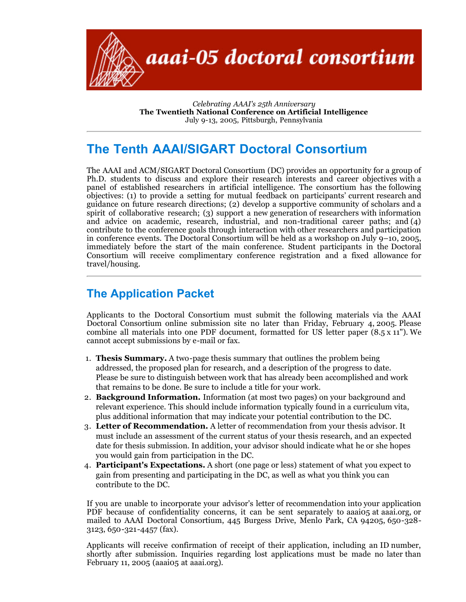

*Celebrating AAAI's 25th Anniversary* **The Twentieth National Conference on Artificial Intelligence** July 9-13, 2005, Pittsburgh, Pennsylvania

## **The Tenth AAAI/SIGART Doctoral Consortium**

The AAAI and ACM/SIGART Doctoral Consortium (DC) provides an opportunity for a group of Ph.D. students to discuss and explore their research interests and career objectives with a panel of established researchers in artificial intelligence. The consortium has the following objectives: (1) to provide a setting for mutual feedback on participants' current research and guidance on future research directions; (2) develop a supportive community of scholars and a spirit of collaborative research; (3) support a new generation of researchers with information and advice on academic, research, industrial, and non-traditional career paths; and (4) contribute to the conference goals through interaction with other researchers and participation in conference events. The Doctoral Consortium will be held as a workshop on July  $9-10$ , 2005, immediately before the start of the main conference. Student participants in the Doctoral Consortium will receive complimentary conference registration and a fixed allowance for travel/housing.

## **The Application Packet**

Applicants to the Doctoral Consortium must submit the following materials via the AAAI Doctoral Consortium online submission site no later than Friday, February 4, 2005. Please combine all materials into one PDF document, formatted for US letter paper (8.5 x 11"). We cannot accept submissions by e-mail or fax.

- 1. **Thesis Summary.** A two-page thesis summary that outlines the problem being addressed, the proposed plan for research, and a description of the progress to date. Please be sure to distinguish between work that has already been accomplished and work that remains to be done. Be sure to include a title for your work.
- 2. **Background Information.** Information (at most two pages) on your background and relevant experience. This should include information typically found in a curriculum vita, plus additional information that may indicate your potential contribution to the DC.
- 3. **Letter of Recommendation.** A letter of recommendation from your thesis advisor. It must include an assessment of the current status of your thesis research, and an expected date for thesis submission. In addition, your advisor should indicate what he or she hopes you would gain from participation in the DC.
- 4. **Participant's Expectations.** A short (one page or less) statement of what you expect to gain from presenting and participating in the DC, as well as what you think you can contribute to the DC.

If you are unable to incorporate your advisor's letter of recommendation into your application PDF because of confidentiality concerns, it can be sent separately to aaaio<sub>5</sub> at aaai.org, or mailed to AAAI Doctoral Consortium, 445 Burgess Drive, Menlo Park, CA 94205, 650-328- 3123, 650-321-4457 (fax).

Applicants will receive confirmation of receipt of their application, including an ID number, shortly after submission. Inquiries regarding lost applications must be made no later than February 11, 2005 (aaaio<sub>5</sub> at aaai.org).